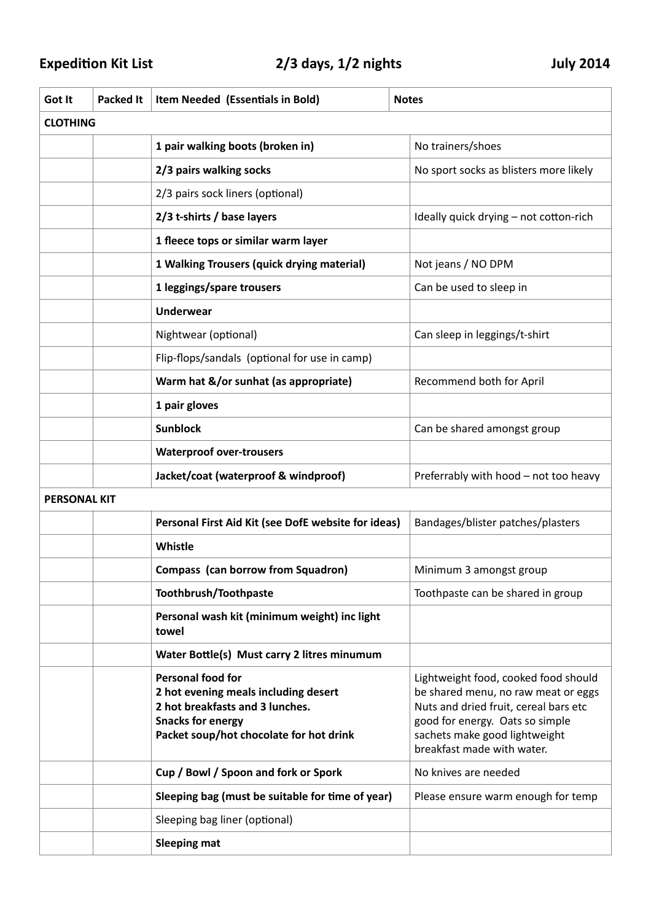## Expedition Kit List **1988** 2/3 days, 1/2 nights **1988** July 2014

| Got It              | <b>Packed It</b> | Item Needed (Essentials in Bold)                                                                                                                                           | <b>Notes</b>                                                                                                                                                                                                           |  |  |
|---------------------|------------------|----------------------------------------------------------------------------------------------------------------------------------------------------------------------------|------------------------------------------------------------------------------------------------------------------------------------------------------------------------------------------------------------------------|--|--|
| <b>CLOTHING</b>     |                  |                                                                                                                                                                            |                                                                                                                                                                                                                        |  |  |
|                     |                  | 1 pair walking boots (broken in)                                                                                                                                           | No trainers/shoes                                                                                                                                                                                                      |  |  |
|                     |                  | 2/3 pairs walking socks                                                                                                                                                    | No sport socks as blisters more likely                                                                                                                                                                                 |  |  |
|                     |                  | 2/3 pairs sock liners (optional)                                                                                                                                           |                                                                                                                                                                                                                        |  |  |
|                     |                  | 2/3 t-shirts / base layers                                                                                                                                                 | Ideally quick drying - not cotton-rich                                                                                                                                                                                 |  |  |
|                     |                  | 1 fleece tops or similar warm layer                                                                                                                                        |                                                                                                                                                                                                                        |  |  |
|                     |                  | 1 Walking Trousers (quick drying material)                                                                                                                                 | Not jeans / NO DPM                                                                                                                                                                                                     |  |  |
|                     |                  | 1 leggings/spare trousers                                                                                                                                                  | Can be used to sleep in                                                                                                                                                                                                |  |  |
|                     |                  | <b>Underwear</b>                                                                                                                                                           |                                                                                                                                                                                                                        |  |  |
|                     |                  | Nightwear (optional)                                                                                                                                                       | Can sleep in leggings/t-shirt                                                                                                                                                                                          |  |  |
|                     |                  | Flip-flops/sandals (optional for use in camp)                                                                                                                              |                                                                                                                                                                                                                        |  |  |
|                     |                  | Warm hat &/or sunhat (as appropriate)                                                                                                                                      | Recommend both for April                                                                                                                                                                                               |  |  |
|                     |                  | 1 pair gloves                                                                                                                                                              |                                                                                                                                                                                                                        |  |  |
|                     |                  | <b>Sunblock</b>                                                                                                                                                            | Can be shared amongst group                                                                                                                                                                                            |  |  |
|                     |                  | <b>Waterproof over-trousers</b>                                                                                                                                            |                                                                                                                                                                                                                        |  |  |
|                     |                  | Jacket/coat (waterproof & windproof)                                                                                                                                       | Preferrably with hood - not too heavy                                                                                                                                                                                  |  |  |
| <b>PERSONAL KIT</b> |                  |                                                                                                                                                                            |                                                                                                                                                                                                                        |  |  |
|                     |                  | Personal First Aid Kit (see DofE website for ideas)                                                                                                                        | Bandages/blister patches/plasters                                                                                                                                                                                      |  |  |
|                     |                  | Whistle                                                                                                                                                                    |                                                                                                                                                                                                                        |  |  |
|                     |                  | <b>Compass (can borrow from Squadron)</b>                                                                                                                                  | Minimum 3 amongst group                                                                                                                                                                                                |  |  |
|                     |                  | Toothbrush/Toothpaste                                                                                                                                                      | Toothpaste can be shared in group                                                                                                                                                                                      |  |  |
|                     |                  | Personal wash kit (minimum weight) inc light<br>towel                                                                                                                      |                                                                                                                                                                                                                        |  |  |
|                     |                  | Water Bottle(s) Must carry 2 litres minumum                                                                                                                                |                                                                                                                                                                                                                        |  |  |
|                     |                  | <b>Personal food for</b><br>2 hot evening meals including desert<br>2 hot breakfasts and 3 lunches.<br><b>Snacks for energy</b><br>Packet soup/hot chocolate for hot drink | Lightweight food, cooked food should<br>be shared menu, no raw meat or eggs<br>Nuts and dried fruit, cereal bars etc<br>good for energy. Oats so simple<br>sachets make good lightweight<br>breakfast made with water. |  |  |
|                     |                  | Cup / Bowl / Spoon and fork or Spork                                                                                                                                       | No knives are needed                                                                                                                                                                                                   |  |  |
|                     |                  | Sleeping bag (must be suitable for time of year)                                                                                                                           | Please ensure warm enough for temp                                                                                                                                                                                     |  |  |
|                     |                  | Sleeping bag liner (optional)                                                                                                                                              |                                                                                                                                                                                                                        |  |  |
|                     |                  | <b>Sleeping mat</b>                                                                                                                                                        |                                                                                                                                                                                                                        |  |  |